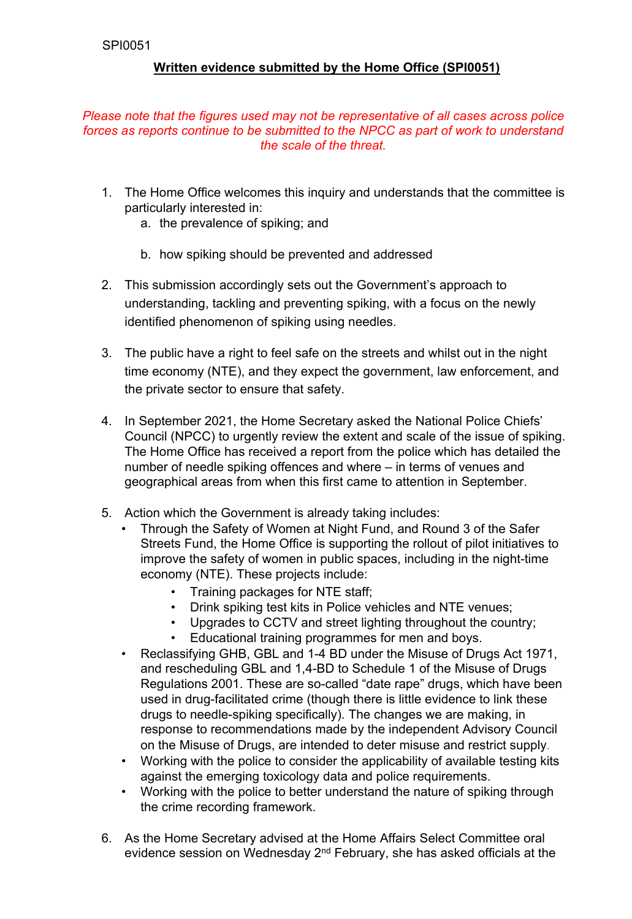# **Written evidence submitted by the Home Office (SPI0051)**

#### *Please note that the figures used may not be representative of all cases across police forces as reports continue to be submitted to the NPCC as part of work to understand the scale of the threat.*

- 1. The Home Office welcomes this inquiry and understands that the committee is particularly interested in:
	- a. the prevalence of spiking; and
	- b. how spiking should be prevented and addressed
- 2. This submission accordingly sets out the Government's approach to understanding, tackling and preventing spiking, with a focus on the newly identified phenomenon of spiking using needles.
- 3. The public have a right to feel safe on the streets and whilst out in the night time economy (NTE), and they expect the government, law enforcement, and the private sector to ensure that safety.
- 4. In September 2021, the Home Secretary asked the National Police Chiefs' Council (NPCC) to urgently review the extent and scale of the issue of spiking. The Home Office has received a report from the police which has detailed the number of needle spiking offences and where – in terms of venues and geographical areas from when this first came to attention in September.
- 5. Action which the Government is already taking includes:
	- Through the Safety of Women at Night Fund, and Round 3 of the Safer Streets Fund, the Home Office is supporting the rollout of pilot initiatives to improve the safety of women in public spaces, including in the night-time economy (NTE). These projects include:
		- Training packages for NTE staff;
		- Drink spiking test kits in Police vehicles and NTE venues;
		- Upgrades to CCTV and street lighting throughout the country;
		- Educational training programmes for men and boys.
	- Reclassifying GHB, GBL and 1-4 BD under the Misuse of Drugs Act 1971, and rescheduling GBL and 1,4-BD to Schedule 1 of the Misuse of Drugs Regulations 2001. These are so-called "date rape" drugs, which have been used in drug-facilitated crime (though there is little evidence to link these drugs to needle-spiking specifically). The changes we are making, in response to recommendations made by the independent Advisory Council on the Misuse of Drugs, are intended to deter misuse and restrict supply.
	- Working with the police to consider the applicability of available testing kits against the emerging toxicology data and police requirements.
	- Working with the police to better understand the nature of spiking through the crime recording framework.
- 6. As the Home Secretary advised at the Home Affairs Select Committee oral evidence session on Wednesday 2<sup>nd</sup> February, she has asked officials at the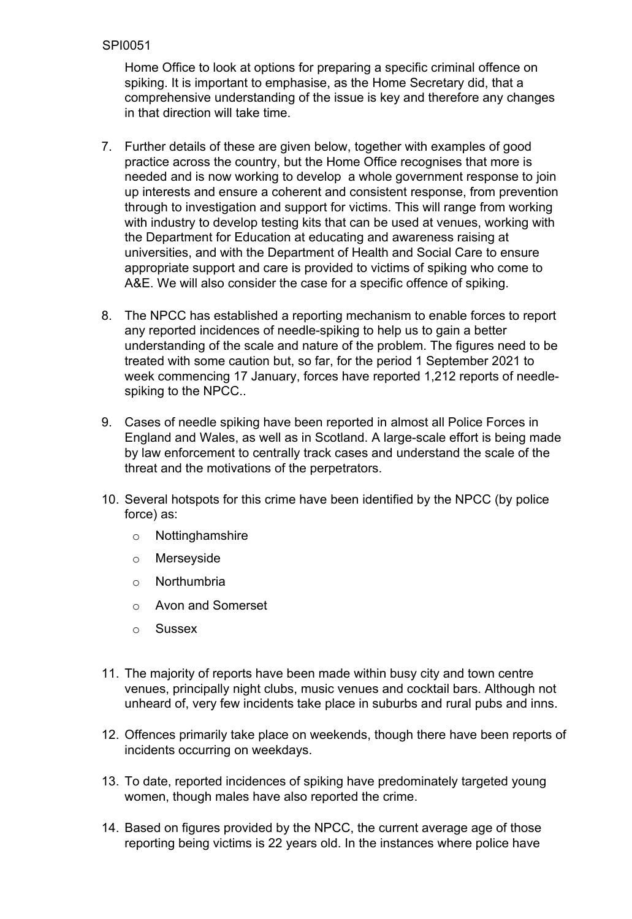Home Office to look at options for preparing a specific criminal offence on spiking. It is important to emphasise, as the Home Secretary did, that a comprehensive understanding of the issue is key and therefore any changes in that direction will take time.

- 7. Further details of these are given below, together with examples of good practice across the country, but the Home Office recognises that more is needed and is now working to develop a whole government response to join up interests and ensure a coherent and consistent response, from prevention through to investigation and support for victims. This will range from working with industry to develop testing kits that can be used at venues, working with the Department for Education at educating and awareness raising at universities, and with the Department of Health and Social Care to ensure appropriate support and care is provided to victims of spiking who come to A&E. We will also consider the case for a specific offence of spiking.
- 8. The NPCC has established a reporting mechanism to enable forces to report any reported incidences of needle-spiking to help us to gain a better understanding of the scale and nature of the problem. The figures need to be treated with some caution but, so far, for the period 1 September 2021 to week commencing 17 January, forces have reported 1,212 reports of needlespiking to the NPCC..
- 9. Cases of needle spiking have been reported in almost all Police Forces in England and Wales, as well as in Scotland. A large-scale effort is being made by law enforcement to centrally track cases and understand the scale of the threat and the motivations of the perpetrators.
- 10. Several hotspots for this crime have been identified by the NPCC (by police force) as:
	- o Nottinghamshire
	- o Merseyside
	- o Northumbria
	- o Avon and Somerset
	- o Sussex
- 11. The majority of reports have been made within busy city and town centre venues, principally night clubs, music venues and cocktail bars. Although not unheard of, very few incidents take place in suburbs and rural pubs and inns.
- 12. Offences primarily take place on weekends, though there have been reports of incidents occurring on weekdays.
- 13. To date, reported incidences of spiking have predominately targeted young women, though males have also reported the crime.
- 14. Based on figures provided by the NPCC, the current average age of those reporting being victims is 22 years old. In the instances where police have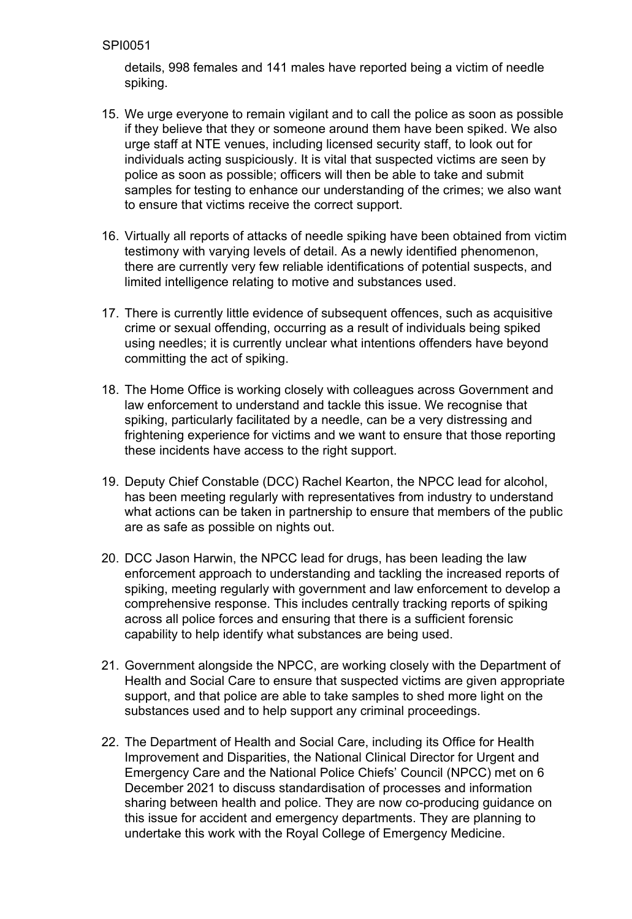details, 998 females and 141 males have reported being a victim of needle spiking.

- 15. We urge everyone to remain vigilant and to call the police as soon as possible if they believe that they or someone around them have been spiked. We also urge staff at NTE venues, including licensed security staff, to look out for individuals acting suspiciously. It is vital that suspected victims are seen by police as soon as possible; officers will then be able to take and submit samples for testing to enhance our understanding of the crimes; we also want to ensure that victims receive the correct support.
- 16. Virtually all reports of attacks of needle spiking have been obtained from victim testimony with varying levels of detail. As a newly identified phenomenon, there are currently very few reliable identifications of potential suspects, and limited intelligence relating to motive and substances used.
- 17. There is currently little evidence of subsequent offences, such as acquisitive crime or sexual offending, occurring as a result of individuals being spiked using needles; it is currently unclear what intentions offenders have beyond committing the act of spiking.
- 18. The Home Office is working closely with colleagues across Government and law enforcement to understand and tackle this issue. We recognise that spiking, particularly facilitated by a needle, can be a very distressing and frightening experience for victims and we want to ensure that those reporting these incidents have access to the right support.
- 19. Deputy Chief Constable (DCC) Rachel Kearton, the NPCC lead for alcohol, has been meeting regularly with representatives from industry to understand what actions can be taken in partnership to ensure that members of the public are as safe as possible on nights out.
- 20. DCC Jason Harwin, the NPCC lead for drugs, has been leading the law enforcement approach to understanding and tackling the increased reports of spiking, meeting regularly with government and law enforcement to develop a comprehensive response. This includes centrally tracking reports of spiking across all police forces and ensuring that there is a sufficient forensic capability to help identify what substances are being used.
- 21. Government alongside the NPCC, are working closely with the Department of Health and Social Care to ensure that suspected victims are given appropriate support, and that police are able to take samples to shed more light on the substances used and to help support any criminal proceedings.
- 22. The Department of Health and Social Care, including its Office for Health Improvement and Disparities, the National Clinical Director for Urgent and Emergency Care and the National Police Chiefs' Council (NPCC) met on 6 December 2021 to discuss standardisation of processes and information sharing between health and police. They are now co-producing guidance on this issue for accident and emergency departments. They are planning to undertake this work with the Royal College of Emergency Medicine.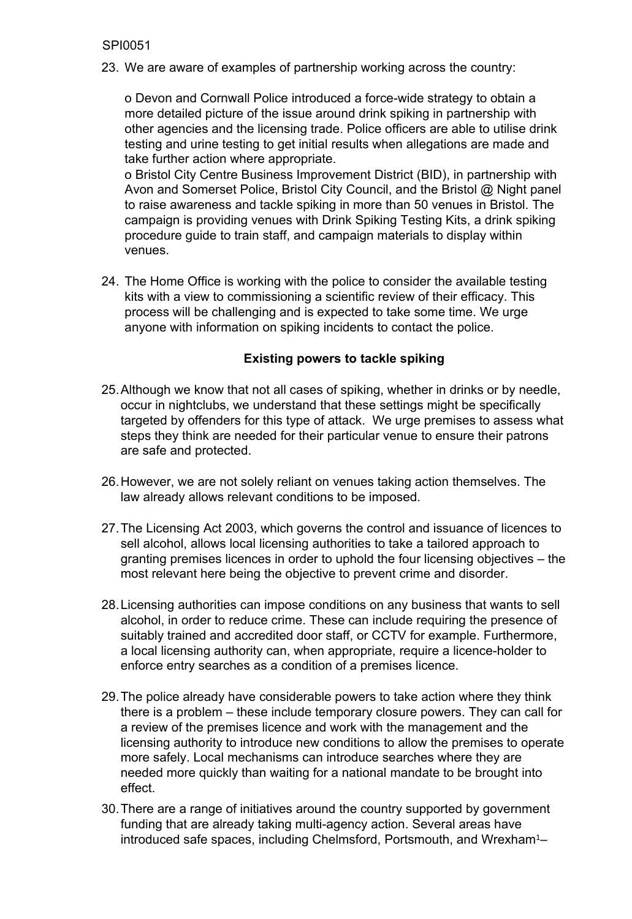23. We are aware of examples of partnership working across the country:

o Devon and Cornwall Police introduced a force-wide strategy to obtain a more detailed picture of the issue around drink spiking in partnership with other agencies and the licensing trade. Police officers are able to utilise drink testing and urine testing to get initial results when allegations are made and take further action where appropriate.

o Bristol City Centre Business Improvement District (BID), in partnership with Avon and Somerset Police, Bristol City Council, and the Bristol @ Night panel to raise awareness and tackle spiking in more than 50 venues in Bristol. The campaign is providing venues with Drink Spiking Testing Kits, a drink spiking procedure guide to train staff, and campaign materials to display within venues.

24. The Home Office is working with the police to consider the available testing kits with a view to commissioning a scientific review of their efficacy. This process will be challenging and is expected to take some time. We urge anyone with information on spiking incidents to contact the police.

## **Existing powers to tackle spiking**

- 25.Although we know that not all cases of spiking, whether in drinks or by needle, occur in nightclubs, we understand that these settings might be specifically targeted by offenders for this type of attack. We urge premises to assess what steps they think are needed for their particular venue to ensure their patrons are safe and protected.
- 26.However, we are not solely reliant on venues taking action themselves. The law already allows relevant conditions to be imposed.
- 27.The Licensing Act 2003, which governs the control and issuance of licences to sell alcohol, allows local licensing authorities to take a tailored approach to granting premises licences in order to uphold the four licensing objectives – the most relevant here being the objective to prevent crime and disorder.
- 28.Licensing authorities can impose conditions on any business that wants to sell alcohol, in order to reduce crime. These can include requiring the presence of suitably trained and accredited door staff, or CCTV for example. Furthermore, a local licensing authority can, when appropriate, require a licence-holder to enforce entry searches as a condition of a premises licence.
- 29.The police already have considerable powers to take action where they think there is a problem – these include temporary closure powers. They can call for a review of the premises licence and work with the management and the licensing authority to introduce new conditions to allow the premises to operate more safely. Local mechanisms can introduce searches where they are needed more quickly than waiting for a national mandate to be brought into effect.
- 30.There are a range of initiatives around the country supported by government funding that are already taking multi-agency action. Several areas have introduced safe spaces, including Chelmsford, Portsmouth, and Wrexham<sup>1</sup>–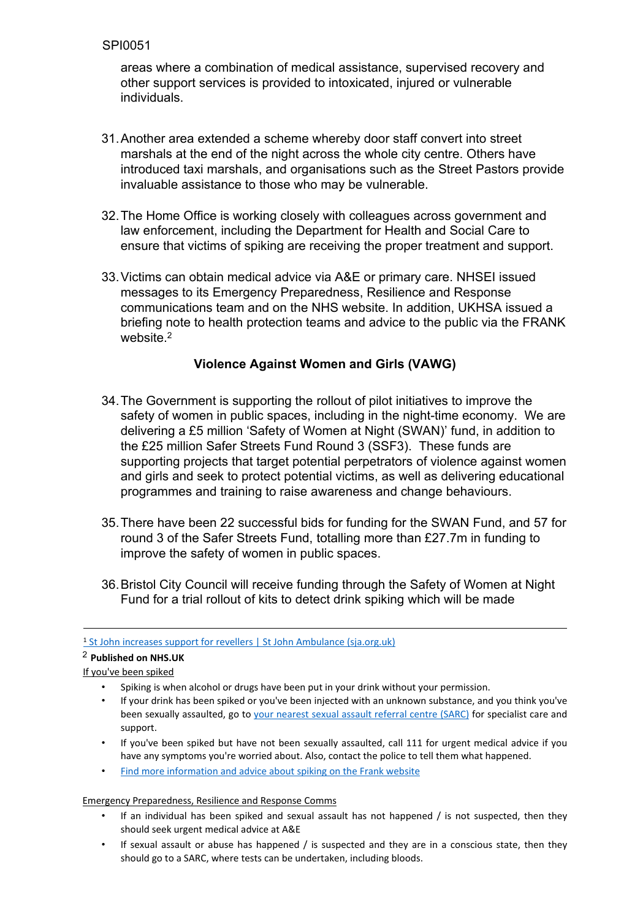areas where a combination of medical assistance, supervised recovery and other support services is provided to intoxicated, injured or vulnerable individuals.

- 31.Another area extended a scheme whereby door staff convert into street marshals at the end of the night across the whole city centre. Others have introduced taxi marshals, and organisations such as the Street Pastors provide invaluable assistance to those who may be vulnerable.
- 32.The Home Office is working closely with colleagues across government and law enforcement, including the Department for Health and Social Care to ensure that victims of spiking are receiving the proper treatment and support.
- 33.Victims can obtain medical advice via A&E or primary care. NHSEI issued messages to its Emergency Preparedness, Resilience and Response communications team and on the NHS website. In addition, UKHSA issued a briefing note to health protection teams and advice to the public via the FRANK website.<sup>2</sup>

## **Violence Against Women and Girls (VAWG)**

- 34.The Government is supporting the rollout of pilot initiatives to improve the safety of women in public spaces, including in the night-time economy. We are delivering a £5 million 'Safety of Women at Night (SWAN)' fund, in addition to the £25 million Safer Streets Fund Round 3 (SSF3). These funds are supporting projects that target potential perpetrators of violence against women and girls and seek to protect potential victims, as well as delivering educational programmes and training to raise awareness and change behaviours.
- 35.There have been 22 successful bids for funding for the SWAN Fund, and 57 for round 3 of the Safer Streets Fund, totalling more than £27.7m in funding to improve the safety of women in public spaces.
- 36.Bristol City Council will receive funding through the Safety of Women at Night Fund for a trial rollout of kits to detect drink spiking which will be made

- If your drink has been spiked or you've been injected with an unknown substance, and you think you've been sexually assaulted, go [to](https://www.nhs.uk/service-search/other-services/Rape-and-sexual-assault-referral-centres/LocationSearch/364) [your](https://www.nhs.uk/service-search/other-services/Rape-and-sexual-assault-referral-centres/LocationSearch/364) [nearest](https://www.nhs.uk/service-search/other-services/Rape-and-sexual-assault-referral-centres/LocationSearch/364) [sexual](https://www.nhs.uk/service-search/other-services/Rape-and-sexual-assault-referral-centres/LocationSearch/364) [assault](https://www.nhs.uk/service-search/other-services/Rape-and-sexual-assault-referral-centres/LocationSearch/364) [referral](https://www.nhs.uk/service-search/other-services/Rape-and-sexual-assault-referral-centres/LocationSearch/364) [centre](https://www.nhs.uk/service-search/other-services/Rape-and-sexual-assault-referral-centres/LocationSearch/364) [\(SARC\)](https://www.nhs.uk/service-search/other-services/Rape-and-sexual-assault-referral-centres/LocationSearch/364) for specialist care and support.
- If you've been spiked but have not been sexually assaulted, call 111 for urgent medical advice if you have any symptoms you're worried about. Also, contact the police to tell them what happened.
- [Find](https://www.talktofrank.com/news/spiking) [more](https://www.talktofrank.com/news/spiking) [information](https://www.talktofrank.com/news/spiking) [and](https://www.talktofrank.com/news/spiking) [advice](https://www.talktofrank.com/news/spiking) [about](https://www.talktofrank.com/news/spiking) [spiking](https://www.talktofrank.com/news/spiking) [on](https://www.talktofrank.com/news/spiking) [the](https://www.talktofrank.com/news/spiking) [Frank](https://www.talktofrank.com/news/spiking) [website](https://www.talktofrank.com/news/spiking)

#### Emergency Preparedness, Resilience and Response Comms

- If an individual has been spiked and sexual assault has not happened  $/$  is not suspected, then they should seek urgent medical advice at A&E
- If sexual assault or abuse has happened  $/$  is suspected and they are in a conscious state, then they should go to a SARC, where tests can be undertaken, including bloods.

<sup>&</sup>lt;sup>1</sup> [St](https://www.sja.org.uk/press-centre/press-releases/increase-support-for-revellers/) [John](https://www.sja.org.uk/press-centre/press-releases/increase-support-for-revellers/) [increases](https://www.sja.org.uk/press-centre/press-releases/increase-support-for-revellers/) [support](https://www.sja.org.uk/press-centre/press-releases/increase-support-for-revellers/) [for](https://www.sja.org.uk/press-centre/press-releases/increase-support-for-revellers/) [revellers](https://www.sja.org.uk/press-centre/press-releases/increase-support-for-revellers/) [|](https://www.sja.org.uk/press-centre/press-releases/increase-support-for-revellers/) St John [Ambulance](https://www.sja.org.uk/press-centre/press-releases/increase-support-for-revellers/) [\(sja.org.uk\)](https://www.sja.org.uk/press-centre/press-releases/increase-support-for-revellers/)

<sup>2</sup> **Published on NHS.UK**

If you've been spiked

<sup>•</sup> Spiking is when alcohol or drugs have been put in your drink without your permission.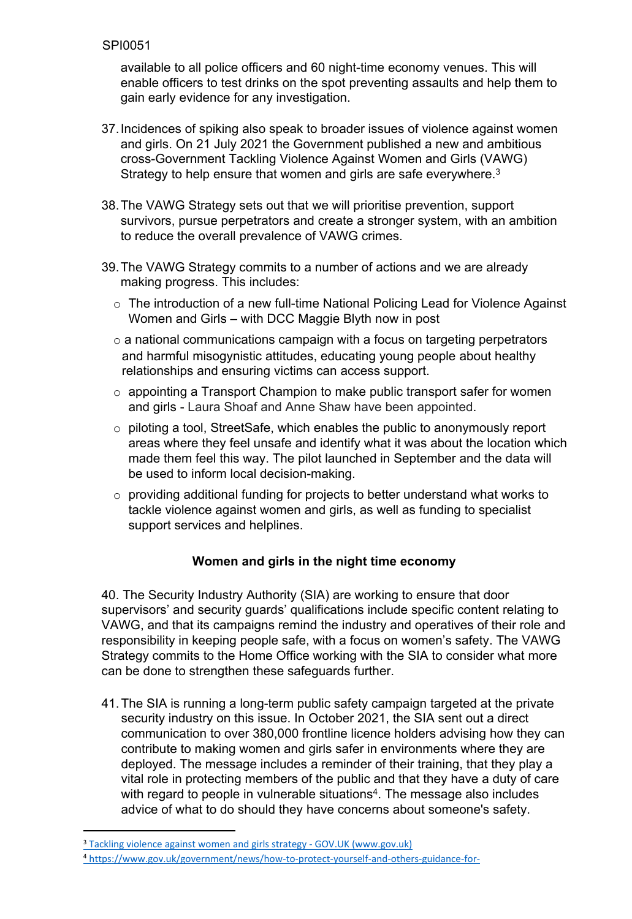available to all police officers and 60 night-time economy venues. This will enable officers to test drinks on the spot preventing assaults and help them to gain early evidence for any investigation.

- 37.Incidences of spiking also speak to broader issues of violence against women and girls. On 21 July 2021 the Government published a new and ambitious cross-Government Tackling Violence Against Women and Girls (VAWG) Strategy to help ensure that women and girls are safe everywhere.<sup>3</sup>
- 38.The VAWG Strategy sets out that we will prioritise prevention, support survivors, pursue perpetrators and create a stronger system, with an ambition to reduce the overall prevalence of VAWG crimes.
- 39.The VAWG Strategy commits to a number of actions and we are already making progress. This includes:
	- o The introduction of a new full-time National Policing Lead for Violence Against Women and Girls – with DCC Maggie Blyth now in post
	- $\circ$  a national communications campaign with a focus on targeting perpetrators and harmful misogynistic attitudes, educating young people about healthy relationships and ensuring victims can access support.
	- $\circ$  appointing a Transport Champion to make public transport safer for women and girls - Laura Shoaf and Anne Shaw have been appointed.
	- o piloting a tool, StreetSafe, which enables the public to anonymously report areas where they feel unsafe and identify what it was about the location which made them feel this way. The pilot launched in September and the data will be used to inform local decision-making.
	- o providing additional funding for projects to better understand what works to tackle violence against women and girls, as well as funding to specialist support services and helplines.

# **Women and girls in the night time economy**

40. The Security Industry Authority (SIA) are working to ensure that door supervisors' and security guards' qualifications include specific content relating to VAWG, and that its campaigns remind the industry and operatives of their role and responsibility in keeping people safe, with a focus on women's safety. The VAWG Strategy commits to the Home Office working with the SIA to consider what more can be done to strengthen these safeguards further.

41. The SIA is running a long-term public safety campaign targeted at the private security industry on this issue. In October 2021, the SIA sent out a direct communication to over 380,000 frontline licence holders advising how they can contribute to making women and girls safer in environments where they are deployed. The message includes a reminder of their training, that they play a vital role in protecting members of the public and that they have a duty of care with regard to people in vulnerable situations<sup>4</sup>. The message also includes advice of what to do should they have concerns about someone's safety.

<sup>&</sup>lt;sup>3</sup> [Tackling](https://www.gov.uk/government/publications/tackling-violence-against-women-and-girls-strategy) [violence](https://www.gov.uk/government/publications/tackling-violence-against-women-and-girls-strategy) [against](https://www.gov.uk/government/publications/tackling-violence-against-women-and-girls-strategy) [women](https://www.gov.uk/government/publications/tackling-violence-against-women-and-girls-strategy) [and](https://www.gov.uk/government/publications/tackling-violence-against-women-and-girls-strategy) [girls](https://www.gov.uk/government/publications/tackling-violence-against-women-and-girls-strategy) [strategy](https://www.gov.uk/government/publications/tackling-violence-against-women-and-girls-strategy) [-](https://www.gov.uk/government/publications/tackling-violence-against-women-and-girls-strategy) [GOV.UK](https://www.gov.uk/government/publications/tackling-violence-against-women-and-girls-strategy) [\(www.gov.uk\)](https://www.gov.uk/government/publications/tackling-violence-against-women-and-girls-strategy)

<sup>4</sup> [https://www.gov.uk/government/news/how-to-protect-yourself-and-others-guidance-for-](https://www.gov.uk/government/news/how-to-protect-yourself-and-others-guidance-for-door-supervisors#helping-vulnerable-people)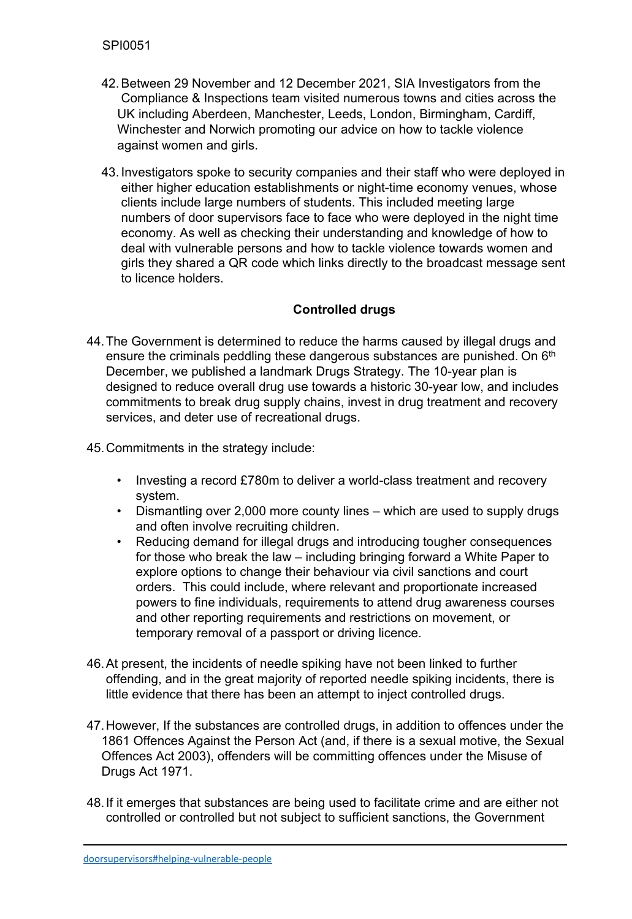- 42.Between 29 November and 12 December 2021, SIA Investigators from the Compliance & Inspections team visited numerous towns and cities across the UK including Aberdeen, Manchester, Leeds, London, Birmingham, Cardiff, Winchester and Norwich promoting our advice on how to tackle violence against women and girls.
- 43. Investigators spoke to security companies and their staff who were deployed in either higher education establishments or night-time economy venues, whose clients include large numbers of students. This included meeting large numbers of door supervisors face to face who were deployed in the night time economy. As well as checking their understanding and knowledge of how to deal with vulnerable persons and how to tackle violence towards women and girls they shared a QR code which links directly to the broadcast message sent to licence holders.

# **Controlled drugs**

- 44.The Government is determined to reduce the harms caused by illegal drugs and ensure the criminals peddling these dangerous substances are punished. On 6<sup>th</sup> December, we published a landmark Drugs Strategy. The 10-year plan is designed to reduce overall drug use towards a historic 30-year low, and includes commitments to break drug supply chains, invest in drug treatment and recovery services, and deter use of recreational drugs.
- 45.Commitments in the strategy include:
	- Investing a record £780m to deliver a world-class treatment and recovery system.
	- Dismantling over 2,000 more county lines which are used to supply drugs and often involve recruiting children.
	- Reducing demand for illegal drugs and introducing tougher consequences for those who break the law – including bringing forward a White Paper to explore options to change their behaviour via civil sanctions and court orders. This could include, where relevant and proportionate increased powers to fine individuals, requirements to attend drug awareness courses and other reporting requirements and restrictions on movement, or temporary removal of a passport or driving licence.
- 46.At present, the incidents of needle spiking have not been linked to further offending, and in the great majority of reported needle spiking incidents, there is little evidence that there has been an attempt to inject controlled drugs.
- 47.However, If the substances are controlled drugs, in addition to offences under the 1861 Offences Against the Person Act (and, if there is a sexual motive, the Sexual Offences Act 2003), offenders will be committing offences under the Misuse of Drugs Act 1971.
- 48.If it emerges that substances are being used to facilitate crime and are either not controlled or controlled but not subject to sufficient sanctions, the Government